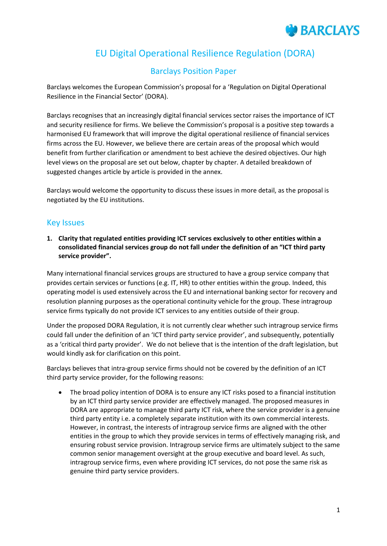## EU Digital Operational Resilience Regulation (DORA)

## Barclays Position Paper

Barclays welcomes the European Commission's proposal for a 'Regulation on Digital Operational Resilience in the Financial Sector' (DORA).

Barclays recognises that an increasingly digital financial services sector raises the importance of ICT and security resilience for firms. We believe the Commission's proposal is a positive step towards a harmonised EU framework that will improve the digital operational resilience of financial services firms across the EU. However, we believe there are certain areas of the proposal which would benefit from further clarification or amendment to best achieve the desired objectives. Our high level views on the proposal are set out below, chapter by chapter. A detailed breakdown of suggested changes article by article is provided in the annex.

Barclays would welcome the opportunity to discuss these issues in more detail, as the proposal is negotiated by the EU institutions.

#### Key Issues

**1. Clarity that regulated entities providing ICT services exclusively to other entities within a consolidated financial services group do not fall under the definition of an "ICT third party service provider".** 

Many international financial services groups are structured to have a group service company that provides certain services or functions (e.g. IT, HR) to other entities within the group. Indeed, this operating model is used extensively across the EU and international banking sector for recovery and resolution planning purposes as the operational continuity vehicle for the group. These intragroup service firms typically do not provide ICT services to any entities outside of their group.

Under the proposed DORA Regulation, it is not currently clear whether such intragroup service firms could fall under the definition of an 'ICT third party service provider', and subsequently, potentially as a 'critical third party provider'. We do not believe that is the intention of the draft legislation, but would kindly ask for clarification on this point.

Barclays believes that intra-group service firms should not be covered by the definition of an ICT third party service provider, for the following reasons:

 The broad policy intention of DORA is to ensure any ICT risks posed to a financial institution by an ICT third party service provider are effectively managed. The proposed measures in DORA are appropriate to manage third party ICT risk, where the service provider is a genuine third party entity i.e. a completely separate institution with its own commercial interests. However, in contrast, the interests of intragroup service firms are aligned with the other entities in the group to which they provide services in terms of effectively managing risk, and ensuring robust service provision. Intragroup service firms are ultimately subject to the same common senior management oversight at the group executive and board level. As such, intragroup service firms, even where providing ICT services, do not pose the same risk as genuine third party service providers.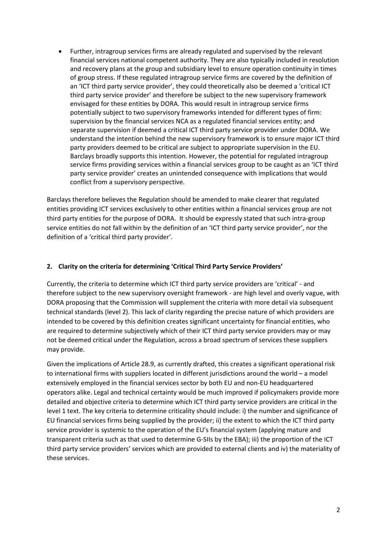Further, intragroup services firms are already regulated and supervised by the relevant financial services national competent authority. They are also typically included in resolution and recovery plans at the group and subsidiary level to ensure operation continuity in times of group stress. If these regulated intragroup service firms are covered by the definition of an 'ICT third party service provider', they could theoretically also be deemed a 'critical ICT third party service provider' and therefore be subject to the new supervisory framework envisaged for these entities by DORA. This would result in intragroup service firms potentially subject to two supervisory frameworks intended for different types of firm: supervision by the financial services NCA as a regulated financial services entity; and separate supervision if deemed a critical ICT third party service provider under DORA. We understand the intention behind the new supervisory framework is to ensure major ICT third party providers deemed to be critical are subject to appropriate supervision in the EU. Barclays broadly supports this intention. However, the potential for regulated intragroup service firms providing services within a financial services group to be caught as an 'ICT third party service provider' creates an unintended consequence with implications that would conflict from a supervisory perspective.

Barclays therefore believes the Regulation should be amended to make clearer that regulated entities providing ICT services exclusively to other entities within a financial services group are not third party entities for the purpose of DORA. It should be expressly stated that such intra-group service entities do not fall within by the definition of an 'ICT third party service provider', nor the definition of a 'critical third party provider'.

#### **2. Clarity on the criteria for determining 'Critical Third Party Service Providers'**

Currently, the criteria to determine which ICT third party service providers are 'critical' - and therefore subject to the new supervisory oversight framework - are high level and overly vague, with DORA proposing that the Commission will supplement the criteria with more detail via subsequent technical standards (level 2). This lack of clarity regarding the precise nature of which providers are intended to be covered by this definition creates significant uncertainty for financial entities, who are required to determine subjectively which of their ICT third party service providers may or may not be deemed critical under the Regulation, across a broad spectrum of services these suppliers may provide.

Given the implications of Article 28.9, as currently drafted, this creates a significant operational risk to international firms with suppliers located in different jurisdictions around the world – a model extensively employed in the financial services sector by both EU and non-EU headquartered operators alike. Legal and technical certainty would be much improved if policymakers provide more detailed and objective criteria to determine which ICT third party service providers are critical in the level 1 text. The key criteria to determine criticality should include: i) the number and significance of EU financial services firms being supplied by the provider; ii) the extent to which the ICT third party service provider is systemic to the operation of the EU's financial system (applying mature and transparent criteria such as that used to determine G-SIIs by the EBA); iii) the proportion of the ICT third party service providers' services which are provided to external clients and iv) the materiality of these services.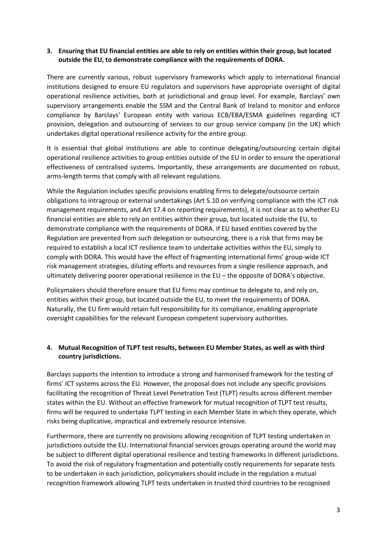#### **3. Ensuring that EU financial entities are able to rely on entities within their group, but located outside the EU, to demonstrate compliance with the requirements of DORA.**

There are currently various, robust supervisory frameworks which apply to international financial institutions designed to ensure EU regulators and supervisors have appropriate oversight of digital operational resilience activities, both at jurisdictional and group level. For example, Barclays' own supervisory arrangements enable the SSM and the Central Bank of Ireland to monitor and enforce compliance by Barclays' European entity with various ECB/EBA/ESMA guidelines regarding ICT provision, delegation and outsourcing of services to our group service company (in the UK) which undertakes digital operational resilience activity for the entire group.

It is essential that global institutions are able to continue delegating/outsourcing certain digital operational resilience activities to group entities outside of the EU in order to ensure the operational effectiveness of centralised systems. Importantly, these arrangements are documented on robust, arms-length terms that comply with all relevant regulations.

While the Regulation includes specific provisions enabling firms to delegate/outsource certain obligations to intragroup or external undertakings (Art 5.10 on verifying compliance with the ICT risk management requirements, and Art 17.4 on reporting requirements), it is not clear as to whether EU financial entities are able to rely on entities within their group, but located outside the EU, to demonstrate compliance with the requirements of DORA. If EU based entities covered by the Regulation are prevented from such delegation or outsourcing, there is a risk that firms may be required to establish a local ICT resilience team to undertake activities within the EU, simply to comply with DORA. This would have the effect of fragmenting international firms' group-wide ICT risk management strategies, diluting efforts and resources from a single resilience approach, and ultimately delivering poorer operational resilience in the EU – the opposite of DORA's objective.

Policymakers should therefore ensure that EU firms may continue to delegate to, and rely on, entities within their group, but located outside the EU, to meet the requirements of DORA. Naturally, the EU firm would retain full responsibility for its compliance, enabling appropriate oversight capabilities for the relevant European competent supervisory authorities.

#### **4. Mutual Recognition of TLPT test results, between EU Member States, as well as with third country jurisdictions.**

Barclays supports the intention to introduce a strong and harmonised framework for the testing of firms' ICT systems across the EU. However, the proposal does not include any specific provisions facilitating the recognition of Threat Level Penetration Test (TLPT) results across different member states within the EU. Without an effective framework for mutual recognition of TLPT test results, firms will be required to undertake TLPT testing in each Member State in which they operate, which risks being duplicative, impractical and extremely resource intensive.

Furthermore, there are currently no provisions allowing recognition of TLPT testing undertaken in jurisdictions outside the EU. International financial services groups operating around the world may be subject to different digital operational resilience and testing frameworks in different jurisdictions. To avoid the risk of regulatory fragmentation and potentially costly requirements for separate tests to be undertaken in each jurisdiction, policymakers should include in the regulation a mutual recognition framework allowing TLPT tests undertaken in trusted third countries to be recognised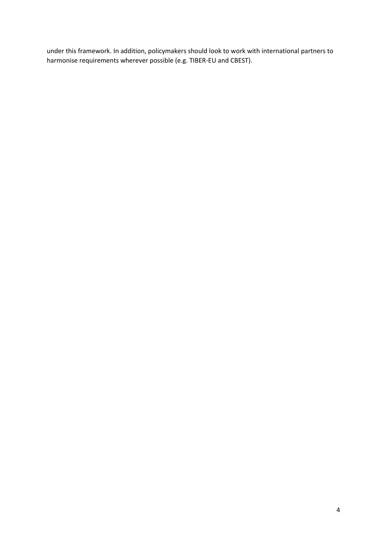under this framework. In addition, policymakers should look to work with international partners to harmonise requirements wherever possible (e.g. TIBER-EU and CBEST).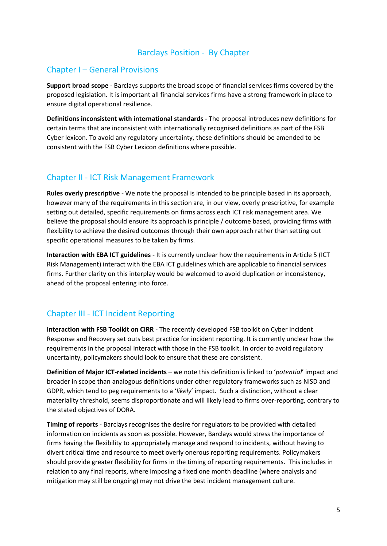### Barclays Position - By Chapter

### Chapter I – General Provisions

**Support broad scope** - Barclays supports the broad scope of financial services firms covered by the proposed legislation. It is important all financial services firms have a strong framework in place to ensure digital operational resilience.

**Definitions inconsistent with international standards -** The proposal introduces new definitions for certain terms that are inconsistent with internationally recognised definitions as part of the FSB Cyber lexicon. To avoid any regulatory uncertainty, these definitions should be amended to be consistent with the FSB Cyber Lexicon definitions where possible.

## Chapter II - ICT Risk Management Framework

**Rules overly prescriptive** - We note the proposal is intended to be principle based in its approach, however many of the requirements in this section are, in our view, overly prescriptive, for example setting out detailed, specific requirements on firms across each ICT risk management area. We believe the proposal should ensure its approach is principle / outcome based, providing firms with flexibility to achieve the desired outcomes through their own approach rather than setting out specific operational measures to be taken by firms.

**Interaction with EBA ICT guidelines** - It is currently unclear how the requirements in Article 5 (ICT Risk Management) interact with the EBA ICT guidelines which are applicable to financial services firms. Further clarity on this interplay would be welcomed to avoid duplication or inconsistency, ahead of the proposal entering into force.

## Chapter III - ICT Incident Reporting

**Interaction with FSB Toolkit on CIRR** - The recently developed FSB toolkit on Cyber Incident Response and Recovery set outs best practice for incident reporting. It is currently unclear how the requirements in the proposal interact with those in the FSB toolkit. In order to avoid regulatory uncertainty, policymakers should look to ensure that these are consistent.

**Definition of Major ICT-related incidents** – we note this definition is linked to '*potential*' impact and broader in scope than analogous definitions under other regulatory frameworks such as NISD and GDPR, which tend to peg requirements to a '*likely*' impact. Such a distinction, without a clear materiality threshold, seems disproportionate and will likely lead to firms over-reporting, contrary to the stated objectives of DORA.

**Timing of reports** - Barclays recognises the desire for regulators to be provided with detailed information on incidents as soon as possible. However, Barclays would stress the importance of firms having the flexibility to appropriately manage and respond to incidents, without having to divert critical time and resource to meet overly onerous reporting requirements. Policymakers should provide greater flexibility for firms in the timing of reporting requirements. This includes in relation to any final reports, where imposing a fixed one month deadline (where analysis and mitigation may still be ongoing) may not drive the best incident management culture.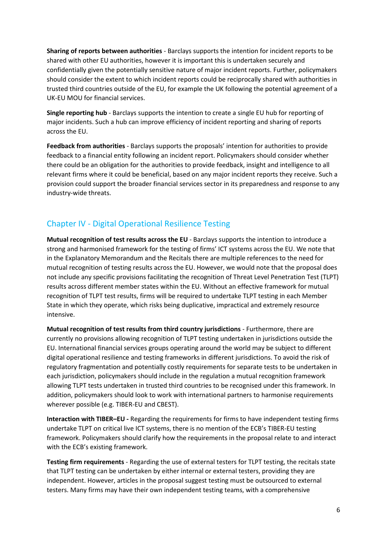**Sharing of reports between authorities** - Barclays supports the intention for incident reports to be shared with other EU authorities, however it is important this is undertaken securely and confidentially given the potentially sensitive nature of major incident reports. Further, policymakers should consider the extent to which incident reports could be reciprocally shared with authorities in trusted third countries outside of the EU, for example the UK following the potential agreement of a UK-EU MOU for financial services.

**Single reporting hub** - Barclays supports the intention to create a single EU hub for reporting of major incidents. Such a hub can improve efficiency of incident reporting and sharing of reports across the EU.

**Feedback from authorities** - Barclays supports the proposals' intention for authorities to provide feedback to a financial entity following an incident report. Policymakers should consider whether there could be an obligation for the authorities to provide feedback, insight and intelligence to all relevant firms where it could be beneficial, based on any major incident reports they receive. Such a provision could support the broader financial services sector in its preparedness and response to any industry-wide threats.

## Chapter IV - Digital Operational Resilience Testing

**Mutual recognition of test results across the EU** - Barclays supports the intention to introduce a strong and harmonised framework for the testing of firms' ICT systems across the EU. We note that in the Explanatory Memorandum and the Recitals there are multiple references to the need for mutual recognition of testing results across the EU. However, we would note that the proposal does not include any specific provisions facilitating the recognition of Threat Level Penetration Test (TLPT) results across different member states within the EU. Without an effective framework for mutual recognition of TLPT test results, firms will be required to undertake TLPT testing in each Member State in which they operate, which risks being duplicative, impractical and extremely resource intensive.

**Mutual recognition of test results from third country jurisdictions** - Furthermore, there are currently no provisions allowing recognition of TLPT testing undertaken in jurisdictions outside the EU. International financial services groups operating around the world may be subject to different digital operational resilience and testing frameworks in different jurisdictions. To avoid the risk of regulatory fragmentation and potentially costly requirements for separate tests to be undertaken in each jurisdiction, policymakers should include in the regulation a mutual recognition framework allowing TLPT tests undertaken in trusted third countries to be recognised under this framework. In addition, policymakers should look to work with international partners to harmonise requirements wherever possible (e.g. TIBER-EU and CBEST).

**Interaction with TIBER–EU -** Regarding the requirements for firms to have independent testing firms undertake TLPT on critical live ICT systems, there is no mention of the ECB's TIBER-EU testing framework. Policymakers should clarify how the requirements in the proposal relate to and interact with the ECB's existing framework.

**Testing firm requirements** - Regarding the use of external testers for TLPT testing, the recitals state that TLPT testing can be undertaken by either internal or external testers, providing they are independent. However, articles in the proposal suggest testing must be outsourced to external testers. Many firms may have their own independent testing teams, with a comprehensive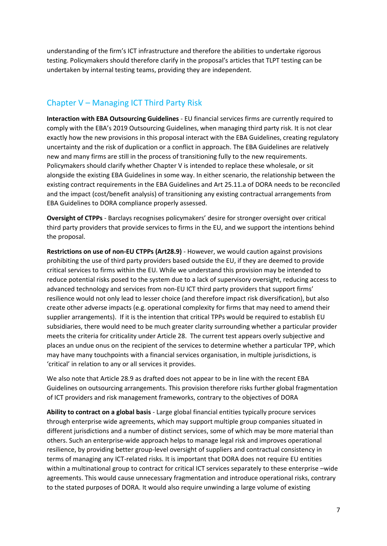understanding of the firm's ICT infrastructure and therefore the abilities to undertake rigorous testing. Policymakers should therefore clarify in the proposal's articles that TLPT testing can be undertaken by internal testing teams, providing they are independent.

### Chapter V – Managing ICT Third Party Risk

**Interaction with EBA Outsourcing Guidelines** - EU financial services firms are currently required to comply with the EBA's 2019 Outsourcing Guidelines, when managing third party risk. It is not clear exactly how the new provisions in this proposal interact with the EBA Guidelines, creating regulatory uncertainty and the risk of duplication or a conflict in approach. The EBA Guidelines are relatively new and many firms are still in the process of transitioning fully to the new requirements. Policymakers should clarify whether Chapter V is intended to replace these wholesale, or sit alongside the existing EBA Guidelines in some way. In either scenario, the relationship between the existing contract requirements in the EBA Guidelines and Art 25.11.a of DORA needs to be reconciled and the impact (cost/benefit analysis) of transitioning any existing contractual arrangements from EBA Guidelines to DORA compliance properly assessed.

**Oversight of CTPPs** - Barclays recognises policymakers' desire for stronger oversight over critical third party providers that provide services to firms in the EU, and we support the intentions behind the proposal.

**Restrictions on use of non-EU CTPPs (Art28.9)** - However, we would caution against provisions prohibiting the use of third party providers based outside the EU, if they are deemed to provide critical services to firms within the EU. While we understand this provision may be intended to reduce potential risks posed to the system due to a lack of supervisory oversight, reducing access to advanced technology and services from non-EU ICT third party providers that support firms' resilience would not only lead to lesser choice (and therefore impact risk diversification), but also create other adverse impacts (e.g. operational complexity for firms that may need to amend their supplier arrangements). If it is the intention that critical TPPs would be required to establish EU subsidiaries, there would need to be much greater clarity surrounding whether a particular provider meets the criteria for criticality under Article 28. The current test appears overly subjective and places an undue onus on the recipient of the services to determine whether a particular TPP, which may have many touchpoints with a financial services organisation, in multiple jurisdictions, is 'critical' in relation to any or all services it provides.

We also note that Article 28.9 as drafted does not appear to be in line with the recent EBA Guidelines on outsourcing arrangements. This provision therefore risks further global fragmentation of ICT providers and risk management frameworks, contrary to the objectives of DORA

**Ability to contract on a global basis** - Large global financial entities typically procure services through enterprise wide agreements, which may support multiple group companies situated in different jurisdictions and a number of distinct services, some of which may be more material than others. Such an enterprise-wide approach helps to manage legal risk and improves operational resilience, by providing better group-level oversight of suppliers and contractual consistency in terms of managing any ICT-related risks. It is important that DORA does not require EU entities within a multinational group to contract for critical ICT services separately to these enterprise –wide agreements. This would cause unnecessary fragmentation and introduce operational risks, contrary to the stated purposes of DORA. It would also require unwinding a large volume of existing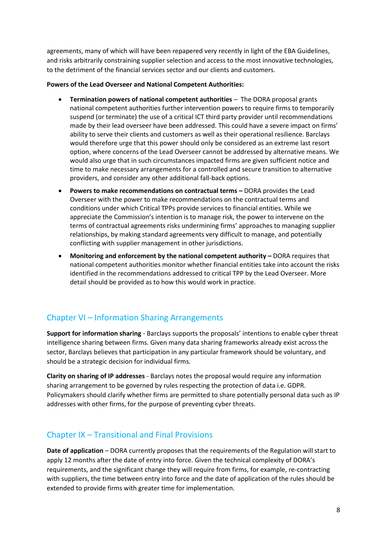agreements, many of which will have been repapered very recently in light of the EBA Guidelines, and risks arbitrarily constraining supplier selection and access to the most innovative technologies, to the detriment of the financial services sector and our clients and customers.

#### **Powers of the Lead Overseer and National Competent Authorities:**

- **Termination powers of national competent authorities** The DORA proposal grants national competent authorities further intervention powers to require firms to temporarily suspend (or terminate) the use of a critical ICT third party provider until recommendations made by their lead overseer have been addressed. This could have a severe impact on firms' ability to serve their clients and customers as well as their operational resilience. Barclays would therefore urge that this power should only be considered as an extreme last resort option, where concerns of the Lead Overseer cannot be addressed by alternative means. We would also urge that in such circumstances impacted firms are given sufficient notice and time to make necessary arrangements for a controlled and secure transition to alternative providers, and consider any other additional fall-back options.
- **•** Powers to make recommendations on contractual terms DORA provides the Lead Overseer with the power to make recommendations on the contractual terms and conditions under which Critical TPPs provide services to financial entities. While we appreciate the Commission's intention is to manage risk, the power to intervene on the terms of contractual agreements risks undermining firms' approaches to managing supplier relationships, by making standard agreements very difficult to manage, and potentially conflicting with supplier management in other jurisdictions.
- **•** Monitoring and enforcement by the national competent authority DORA requires that national competent authorities monitor whether financial entities take into account the risks identified in the recommendations addressed to critical TPP by the Lead Overseer. More detail should be provided as to how this would work in practice.

## Chapter VI – Information Sharing Arrangements

**Support for information sharing** - Barclays supports the proposals' intentions to enable cyber threat intelligence sharing between firms. Given many data sharing frameworks already exist across the sector, Barclays believes that participation in any particular framework should be voluntary, and should be a strategic decision for individual firms.

**Clarity on sharing of IP addresses** - Barclays notes the proposal would require any information sharing arrangement to be governed by rules respecting the protection of data i.e. GDPR. Policymakers should clarify whether firms are permitted to share potentially personal data such as IP addresses with other firms, for the purpose of preventing cyber threats.

## Chapter IX – Transitional and Final Provisions

**Date of application** – DORA currently proposes that the requirements of the Regulation will start to apply 12 months after the date of entry into force. Given the technical complexity of DORA's requirements, and the significant change they will require from firms, for example, re-contracting with suppliers, the time between entry into force and the date of application of the rules should be extended to provide firms with greater time for implementation.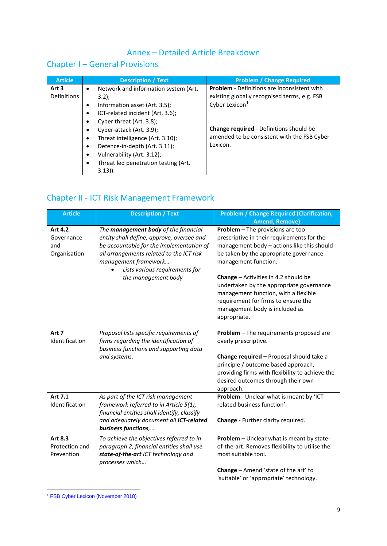## Annex – Detailed Article Breakdown

## Chapter I – General Provisions

| <b>Article</b>       |                                                               | <b>Description / Text</b>                                                                                                                                                        | <b>Problem / Change Required</b>                                                                                        |
|----------------------|---------------------------------------------------------------|----------------------------------------------------------------------------------------------------------------------------------------------------------------------------------|-------------------------------------------------------------------------------------------------------------------------|
| Art 3<br>Definitions | $\bullet$<br>$\bullet$<br>$\bullet$<br>$\bullet$              | Network and information system (Art.<br>$3.2$ :<br>Information asset (Art. 3.5);<br>ICT-related incident (Art. 3.6);<br>Cyber threat (Art. 3.8);                                 | <b>Problem</b> - Definitions are inconsistent with<br>existing globally recognised terms, e.g. FSB<br>Cyber Lexicon $1$ |
|                      | $\bullet$<br>$\bullet$<br>$\bullet$<br>$\bullet$<br>$\bullet$ | Cyber-attack (Art. 3.9);<br>Threat intelligence (Art. 3.10);<br>Defence-in-depth (Art. 3.11);<br>Vulnerability (Art. 3.12);<br>Threat led penetration testing (Art.<br>$3.13$ ). | <b>Change required - Definitions should be</b><br>amended to be consistent with the FSB Cyber<br>Lexicon.               |

## Chapter II - ICT Risk Management Framework

| <b>Article</b>                               | <b>Description / Text</b>                                                                                                                                                                                                                                         | <b>Problem / Change Required (Clarification,</b><br><b>Amend, Remove)</b>                                                                                                                                                                                                                                                                                                                                                    |
|----------------------------------------------|-------------------------------------------------------------------------------------------------------------------------------------------------------------------------------------------------------------------------------------------------------------------|------------------------------------------------------------------------------------------------------------------------------------------------------------------------------------------------------------------------------------------------------------------------------------------------------------------------------------------------------------------------------------------------------------------------------|
| Art 4.2<br>Governance<br>and<br>Organisation | The <b>management body</b> of the financial<br>entity shall define, approve, oversee and<br>be accountable for the implementation of<br>all arrangements related to the ICT risk<br>management framework<br>Lists various requirements for<br>the management body | Problem - The provisions are too<br>prescriptive in their requirements for the<br>management body - actions like this should<br>be taken by the appropriate governance<br>management function.<br><b>Change</b> $-$ Activities in 4.2 should be<br>undertaken by the appropriate governance<br>management function, with a flexible<br>requirement for firms to ensure the<br>management body is included as<br>appropriate. |
| Art 7<br>Identification                      | Proposal lists specific requirements of<br>firms regarding the identification of<br>business functions and supporting data<br>and systems.                                                                                                                        | Problem - The requirements proposed are<br>overly prescriptive.<br>Change required - Proposal should take a<br>principle / outcome based approach,<br>providing firms with flexibility to achieve the<br>desired outcomes through their own<br>approach.                                                                                                                                                                     |
| Art 7.1<br>Identification                    | As part of the ICT risk management<br>framework referred to in Article 5(1),<br>financial entities shall identify, classify<br>and adequately document all ICT-related<br>business functions,                                                                     | Problem - Unclear what is meant by 'ICT-<br>related business function'.<br>Change - Further clarity required.                                                                                                                                                                                                                                                                                                                |
| Art 8.3<br>Protection and<br>Prevention      | To achieve the objectives referred to in<br>paragraph 2, financial entities shall use<br>state-of-the-art ICT technology and<br>processes which                                                                                                                   | Problem - Unclear what is meant by state-<br>of-the-art. Removes flexibility to utilise the<br>most suitable tool.<br>Change - Amend 'state of the art' to<br>'suitable' or 'appropriate' technology.                                                                                                                                                                                                                        |

**<sup>.</sup>** <sup>1</sup> [FSB Cyber Lexicon \(November 2018\)](https://www.fsb.org/wp-content/uploads/P121118-1.pdf)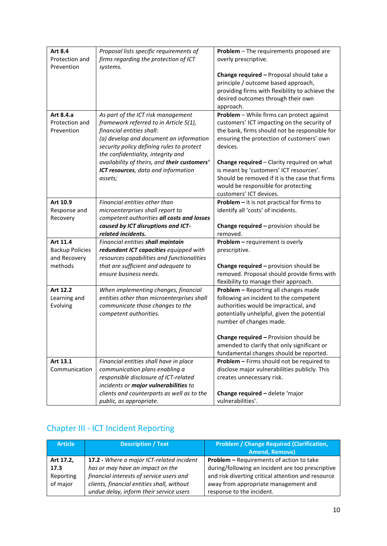| <b>Art 8.4</b>         | Proposal lists specific requirements of                               | Problem - The requirements proposed are              |
|------------------------|-----------------------------------------------------------------------|------------------------------------------------------|
| Protection and         | firms regarding the protection of ICT                                 | overly prescriptive.                                 |
| Prevention             | systems.                                                              |                                                      |
|                        |                                                                       | Change required - Proposal should take a             |
|                        |                                                                       | principle / outcome based approach,                  |
|                        |                                                                       | providing firms with flexibility to achieve the      |
|                        |                                                                       | desired outcomes through their own                   |
|                        |                                                                       | approach.                                            |
| Art 8.4.a              | As part of the ICT risk management                                    | Problem - While firms can protect against            |
| Protection and         | framework referred to in Article 5(1),                                | customers' ICT impacting on the security of          |
| Prevention             | financial entities shall:                                             | the bank, firms should not be responsible for        |
|                        | (a) develop and document an information                               | ensuring the protection of customers' own            |
|                        | security policy defining rules to protect                             | devices.                                             |
|                        | the confidentiality, integrity and                                    |                                                      |
|                        | availability of theirs, and their customers'                          | Change required - Clarity required on what           |
|                        | ICT resources, data and information                                   | is meant by 'customers' ICT resources'.              |
|                        | assets;                                                               | Should be removed if it is the case that firms       |
|                        |                                                                       | would be responsible for protecting                  |
|                        |                                                                       | customers' ICT devices.                              |
| Art 10.9               | Financial entities other than                                         | Problem - it is not practical for firms to           |
| Response and           | microenterprises shall report to                                      | identify all 'costs' of incidents.                   |
| Recovery               | competent authorities all costs and losses                            |                                                      |
|                        | caused by ICT disruptions and ICT-                                    | Change required - provision should be                |
|                        |                                                                       |                                                      |
|                        | related incidents.                                                    | removed.                                             |
| Art 11.4               | Financial entities shall maintain                                     | Problem - requirement is overly                      |
| <b>Backup Policies</b> | redundant ICT capacities equipped with                                | prescriptive.                                        |
| and Recovery           | resources capabilities and functionalities                            |                                                      |
| methods                | that are sufficient and adequate to                                   | Change required - provision should be                |
|                        | ensure business needs.                                                | removed. Proposal should provide firms with          |
|                        |                                                                       | flexibility to manage their approach.                |
| Art 12.2               | When implementing changes, financial                                  | Problem - Reporting all changes made                 |
| Learning and           | entities other than microenterprises shall                            | following an incident to the competent               |
| Evolving               | communicate those changes to the                                      | authorities would be impractical, and                |
|                        | competent authorities.                                                | potentially unhelpful, given the potential           |
|                        |                                                                       | number of changes made.                              |
|                        |                                                                       |                                                      |
|                        |                                                                       | <b>Change required – Provision should be</b>         |
|                        |                                                                       | amended to clarify that only significant or          |
|                        |                                                                       | fundamental changes should be reported.              |
| Art 13.1               | Financial entities shall have in place                                | Problem - Firms should not be required to            |
| Communication          | communication plans enabling a                                        | disclose major vulnerabilities publicly. This        |
|                        | responsible disclosure of ICT-related                                 | creates unnecessary risk.                            |
|                        | incidents or major vulnerabilities to                                 |                                                      |
|                        | clients and counterparts as well as to the<br>public, as appropriate. | Change required - delete 'major<br>vulnerabilities'. |

## Chapter III - ICT Incident Reporting

| <b>Article</b> | <b>Description / Text</b>                  | <b>Problem / Change Required (Clarification,</b>   |
|----------------|--------------------------------------------|----------------------------------------------------|
|                |                                            | <b>Amend, Remove)</b>                              |
| Art 17.2,      | 17.2 - Where a major ICT-related incident  | <b>Problem - Requirements of action to take</b>    |
| 17.3           | has or may have an impact on the           | during/following an incident are too prescriptive  |
| Reporting      | financial interests of service users and   | and risk diverting critical attention and resource |
| of major       | clients, financial entities shall, without | away from appropriate management and               |
|                | undue delay, inform their service users    | response to the incident.                          |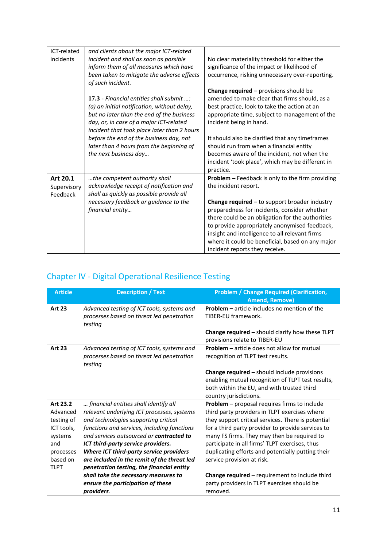| incidents<br>incident and shall as soon as possible<br>No clear materiality threshold for either the<br>inform them of all measures which have<br>significance of the impact or likelihood of<br>been taken to mitigate the adverse effects<br>occurrence, risking unnecessary over-reporting. |  |
|------------------------------------------------------------------------------------------------------------------------------------------------------------------------------------------------------------------------------------------------------------------------------------------------|--|
|                                                                                                                                                                                                                                                                                                |  |
|                                                                                                                                                                                                                                                                                                |  |
|                                                                                                                                                                                                                                                                                                |  |
| of such incident.                                                                                                                                                                                                                                                                              |  |
| <b>Change required - provisions should be</b>                                                                                                                                                                                                                                                  |  |
| 17.3 - Financial entities shall submit $\ldots$<br>amended to make clear that firms should, as a                                                                                                                                                                                               |  |
| (a) an initial notification, without delay,<br>best practice, look to take the action at an                                                                                                                                                                                                    |  |
| but no later than the end of the business<br>appropriate time, subject to management of the                                                                                                                                                                                                    |  |
| day, or, in case of a major ICT-related<br>incident being in hand.                                                                                                                                                                                                                             |  |
| incident that took place later than 2 hours                                                                                                                                                                                                                                                    |  |
| before the end of the business day, not<br>It should also be clarified that any timeframes                                                                                                                                                                                                     |  |
| should run from when a financial entity<br>later than 4 hours from the beginning of                                                                                                                                                                                                            |  |
| becomes aware of the incident, not when the<br>the next business day                                                                                                                                                                                                                           |  |
| incident 'took place', which may be different in                                                                                                                                                                                                                                               |  |
| practice.                                                                                                                                                                                                                                                                                      |  |
| Problem - Feedback is only to the firm providing<br>Art 20.1<br>the competent authority shall                                                                                                                                                                                                  |  |
| acknowledge receipt of notification and<br>the incident report.<br>Supervisory                                                                                                                                                                                                                 |  |
| shall as quickly as possible provide all<br>Feedback                                                                                                                                                                                                                                           |  |
| Change required - to support broader industry<br>necessary feedback or guidance to the                                                                                                                                                                                                         |  |
| financial entity<br>preparedness for incidents, consider whether                                                                                                                                                                                                                               |  |
| there could be an obligation for the authorities                                                                                                                                                                                                                                               |  |
| to provide appropriately anonymised feedback,                                                                                                                                                                                                                                                  |  |
| insight and intelligence to all relevant firms                                                                                                                                                                                                                                                 |  |
| where it could be beneficial, based on any major                                                                                                                                                                                                                                               |  |
| incident reports they receive.                                                                                                                                                                                                                                                                 |  |

# Chapter IV - Digital Operational Resilience Testing

| <b>Article</b> | <b>Description / Text</b>                                                                          | <b>Problem / Change Required (Clarification,</b><br><b>Amend, Remove)</b>               |
|----------------|----------------------------------------------------------------------------------------------------|-----------------------------------------------------------------------------------------|
| <b>Art 23</b>  | Advanced testing of ICT tools, systems and<br>processes based on threat led penetration<br>testing | <b>Problem - article includes no mention of the</b><br>TIBER-EU framework.              |
|                |                                                                                                    | Change required - should clarify how these TLPT<br>provisions relate to TIBER-EU        |
| <b>Art 23</b>  | Advanced testing of ICT tools, systems and<br>processes based on threat led penetration<br>testing | <b>Problem – article does not allow for mutual</b><br>recognition of TLPT test results. |
|                |                                                                                                    | <b>Change required - should include provisions</b>                                      |
|                |                                                                                                    | enabling mutual recognition of TLPT test results,                                       |
|                |                                                                                                    | both within the EU, and with trusted third<br>country jurisdictions.                    |
| Art 23.2       | financial entities shall identify all                                                              | Problem - proposal requires firms to include                                            |
| Advanced       | relevant underlying ICT processes, systems                                                         | third party providers in TLPT exercises where                                           |
| testing of     | and technologies supporting critical                                                               | they support critical services. There is potential                                      |
| ICT tools,     | functions and services, including functions                                                        | for a third party provider to provide services to                                       |
| systems        | and services outsourced or contracted to                                                           | many FS firms. They may then be required to                                             |
| and            | ICT third-party service providers.                                                                 | participate in all firms' TLPT exercises, thus                                          |
| processes      | Where ICT third-party service providers                                                            | duplicating efforts and potentially putting their                                       |
| based on       | are included in the remit of the threat led                                                        | service provision at risk.                                                              |
| <b>TLPT</b>    | penetration testing, the financial entity                                                          |                                                                                         |
|                | shall take the necessary measures to                                                               | <b>Change required</b> – requirement to include third                                   |
|                | ensure the participation of these                                                                  | party providers in TLPT exercises should be                                             |
|                | providers.                                                                                         | removed.                                                                                |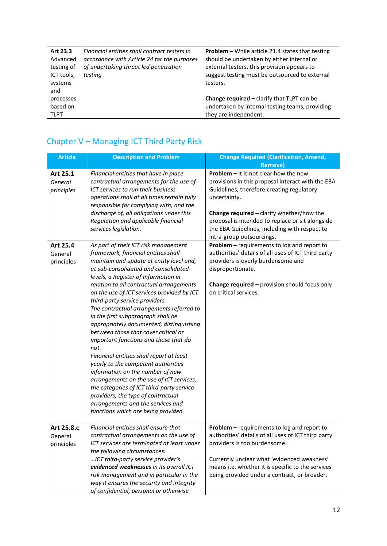| Art 23.3    | Financial entities shall contract testers in | <b>Problem –</b> While article 21.4 states that testing |
|-------------|----------------------------------------------|---------------------------------------------------------|
| Advanced    | accordance with Article 24 for the purposes  | should be undertaken by either internal or              |
| testing of  | of undertaking threat led penetration        | external testers, this provision appears to             |
| ICT tools,  | testing                                      | suggest testing must be outsourced to external          |
| systems     |                                              | testers.                                                |
| and         |                                              |                                                         |
| processes   |                                              | <b>Change required - clarify that TLPT can be</b>       |
| based on    |                                              | undertaken by internal testing teams, providing         |
| <b>TLPT</b> |                                              | they are independent.                                   |

# Chapter V – Managing ICT Third Party Risk

| <b>Article</b>                      | <b>Description and Problem</b>                                                                                                                                                                                                                                                                                                                                                                                                                                                                                                                                                                                                                                                                                                                                                                                                                                                               | <b>Change Required (Clarification, Amend,</b>                                                                                                                                                                                                                                                                                                                   |
|-------------------------------------|----------------------------------------------------------------------------------------------------------------------------------------------------------------------------------------------------------------------------------------------------------------------------------------------------------------------------------------------------------------------------------------------------------------------------------------------------------------------------------------------------------------------------------------------------------------------------------------------------------------------------------------------------------------------------------------------------------------------------------------------------------------------------------------------------------------------------------------------------------------------------------------------|-----------------------------------------------------------------------------------------------------------------------------------------------------------------------------------------------------------------------------------------------------------------------------------------------------------------------------------------------------------------|
| Art 25.1<br>General<br>principles   | Financial entities that have in place<br>contractual arrangements for the use of<br>ICT services to run their business<br>operations shall at all times remain fully<br>responsible for complying with, and the<br>discharge of, all obligations under this<br>Regulation and applicable financial<br>services legislation.                                                                                                                                                                                                                                                                                                                                                                                                                                                                                                                                                                  | <b>Remove)</b><br><b>Problem - It is not clear how the new</b><br>provisions in this proposal interact with the EBA<br>Guidelines, therefore creating regulatory<br>uncertainty.<br>Change required - clarify whether/how the<br>proposal is intended to replace or sit alongside<br>the EBA Guidelines, including with respect to<br>intra-group outsourcings. |
| Art 25.4<br>General<br>principles   | As part of their ICT risk management<br>framework, financial entities shall<br>maintain and update at entity level and,<br>at sub-consolidated and consolidated<br>levels, a Register of Information in<br>relation to all contractual arrangements<br>on the use of ICT services provided by ICT<br>third-party service providers.<br>The contractual arrangements referred to<br>in the first subparagraph shall be<br>appropriately documented, distinguishing<br>between those that cover critical or<br>important functions and those that do<br>not.<br>Financial entities shall report at least<br>yearly to the competent authorities<br>information on the number of new<br>arrangements on the use of ICT services,<br>the categories of ICT third-party service<br>providers, the type of contractual<br>arrangements and the services and<br>functions which are being provided. | Problem - requirements to log and report to<br>authorities' details of all uses of ICT third party<br>providers is overly burdensome and<br>disproportionate.<br><b>Change required - provision should focus only</b><br>on critical services.                                                                                                                  |
| Art 25.8.c<br>General<br>principles | Financial entities shall ensure that<br>contractual arrangements on the use of<br>ICT services are terminated at least under<br>the following circumstances:<br>ICT third-party service provider's<br>evidenced weaknesses in its overall ICT<br>risk management and in particular in the<br>way it ensures the security and integrity<br>of confidential, personal or otherwise                                                                                                                                                                                                                                                                                                                                                                                                                                                                                                             | Problem - requirements to log and report to<br>authorities' details of all uses of ICT third party<br>providers is too burdensome.<br>Currently unclear what 'evidenced weakness'<br>means i.e. whether it is specific to the services<br>being provided under a contract, or broader.                                                                          |